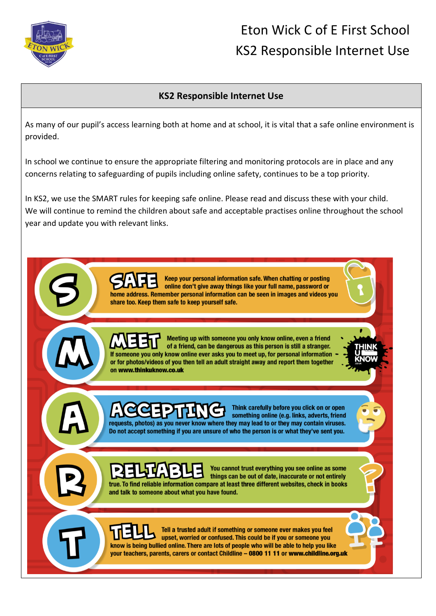

## Eton Wick C of E First School KS2 Responsible Internet Use

## **KS2 Responsible Internet Use**

As many of our pupil's access learning both at home and at school, it is vital that a safe online environment is provided.

In school we continue to ensure the appropriate filtering and monitoring protocols are in place and any concerns relating to safeguarding of pupils including online safety, continues to be a top priority.

In KS2, we use the SMART rules for keeping safe online. Please read and discuss these with your child. We will continue to remind the children about safe and acceptable practises online throughout the school year and update you with relevant links.

> Keep your personal information safe. When chatting or posting online don't give away things like your full name, password or home address. Remember personal information can be seen in images and videos you share too. Keep them safe to keep yourself safe.

> Meeting up with someone you only know online, even a friend of a friend, can be dangerous as this person is still a stranger. If someone you only know online ever asks you to meet up, for personal information or for photos/videos of you then tell an adult straight away and report them together on www.thinkuknow.co.uk

Think carefully before you click on or open something online (e.g. links, adverts, friend requests, photos) as you never know where they may lead to or they may contain viruses. Do not accept something if you are unsure of who the person is or what they've sent you.



You cannot trust everything you see online as some things can be out of date, inaccurate or not entirely true. To find reliable information compare at least three different websites, check in books and talk to someone about what you have found.

Tell a trusted adult if something or someone ever makes you feel upset, worried or confused. This could be if you or someone you know is being bullied online. There are lots of people who will be able to help you like your teachers, parents, carers or contact Childline - 0800 11 11 or www.childline.org.uk